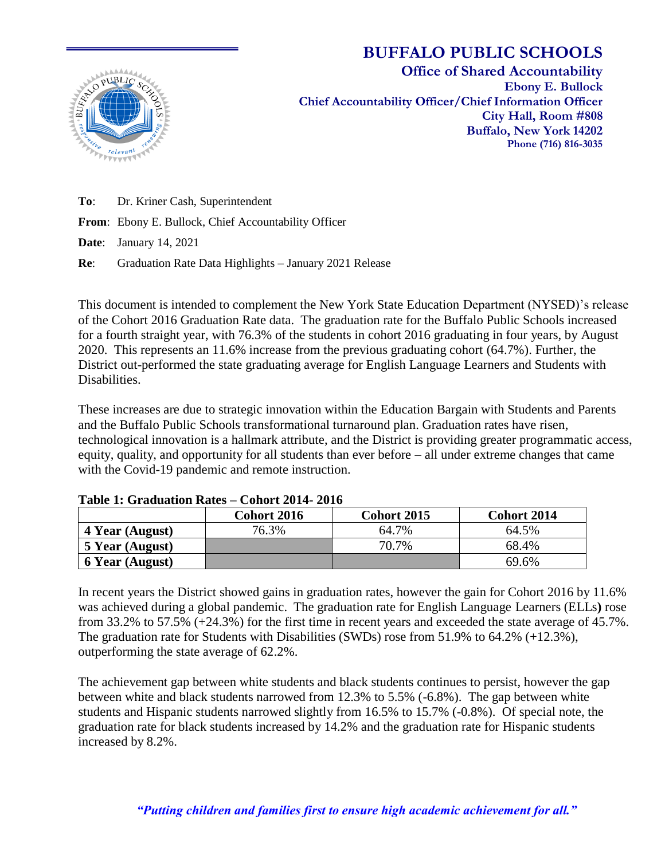

# **BUFFALO PUBLIC SCHOOLS**

**Office of Shared Accountability Ebony E. Bullock Chief Accountability Officer/Chief Information Officer City Hall, Room #808 Buffalo, New York 14202 Phone (716) 816-3035**

**To**: Dr. Kriner Cash, Superintendent

**From**: Ebony E. Bullock, Chief Accountability Officer

**Date**: January 14, 2021

**Re**: Graduation Rate Data Highlights – January 2021 Release

This document is intended to complement the New York State Education Department (NYSED)'s release of the Cohort 2016 Graduation Rate data. The graduation rate for the Buffalo Public Schools increased for a fourth straight year, with 76.3% of the students in cohort 2016 graduating in four years, by August 2020. This represents an 11.6% increase from the previous graduating cohort (64.7%). Further, the District out-performed the state graduating average for English Language Learners and Students with Disabilities.

These increases are due to strategic innovation within the Education Bargain with Students and Parents and the Buffalo Public Schools transformational turnaround plan. Graduation rates have risen, technological innovation is a hallmark attribute, and the District is providing greater programmatic access, equity, quality, and opportunity for all students than ever before – all under extreme changes that came with the Covid-19 pandemic and remote instruction.

|                        | <b>Cohort 2016</b> | Cohort 2015 | <b>Cohort 2014</b> |
|------------------------|--------------------|-------------|--------------------|
| 4 Year (August)        | 76.3%              | 64.7%       | 64.5%              |
| 5 Year (August)        |                    | 70.7%       | 68.4%              |
| <b>6 Year (August)</b> |                    |             | 69.6%              |

#### **Table 1: Graduation Rates – Cohort 2014- 2016**

In recent years the District showed gains in graduation rates, however the gain for Cohort 2016 by 11.6% was achieved during a global pandemic. The graduation rate for English Language Learners (ELLs**)** rose from 33.2% to 57.5% (+24.3%) for the first time in recent years and exceeded the state average of 45.7%. The graduation rate for Students with Disabilities (SWDs) rose from 51.9% to 64.2% (+12.3%), outperforming the state average of 62.2%.

The achievement gap between white students and black students continues to persist, however the gap between white and black students narrowed from 12.3% to 5.5% (-6.8%). The gap between white students and Hispanic students narrowed slightly from 16.5% to 15.7% (-0.8%). Of special note, the graduation rate for black students increased by 14.2% and the graduation rate for Hispanic students increased by 8.2%.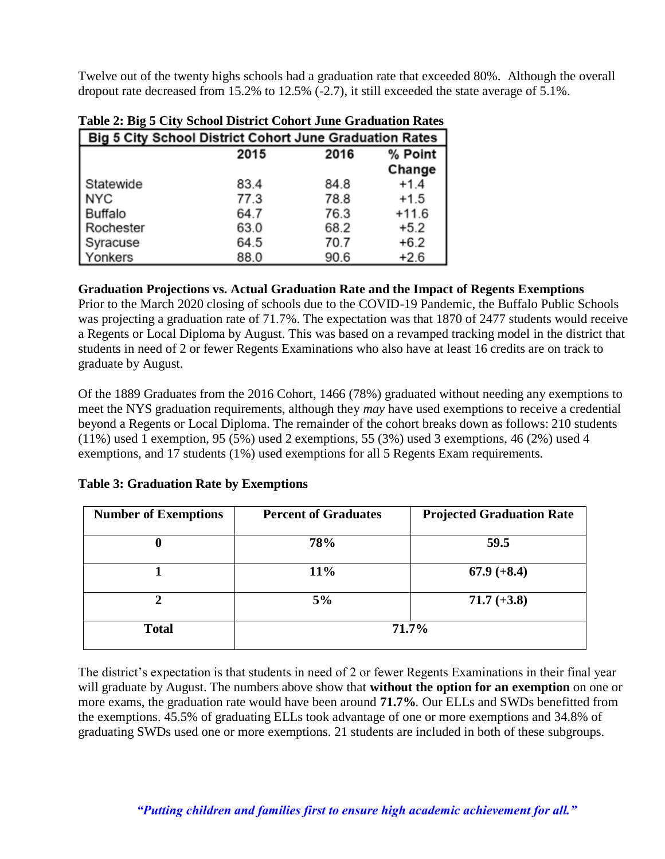Twelve out of the twenty highs schools had a graduation rate that exceeded 80%. Although the overall dropout rate decreased from 15.2% to 12.5% (-2.7), it still exceeded the state average of 5.1%.

| Table 2. Dig c City believe District Convet bune Graduation Rates |      |      |         |  |
|-------------------------------------------------------------------|------|------|---------|--|
| Big 5 City School District Cohort June Graduation Rates           |      |      |         |  |
|                                                                   | 2015 | 2016 | % Point |  |
|                                                                   |      |      | Change  |  |
| Statewide                                                         | 83.4 | 84.8 | $+1.4$  |  |
| <b>NYC</b>                                                        | 77.3 | 78.8 | $+1.5$  |  |
| <b>Buffalo</b>                                                    | 64.7 | 76.3 | $+11.6$ |  |
| Rochester                                                         | 63.0 | 68.2 | $+5.2$  |  |
| Syracuse                                                          | 64.5 | 70.7 | $+6.2$  |  |
| Yonkers                                                           | 88.0 | 90.6 | $+2.6$  |  |

|  | Table 2: Big 5 City School District Cohort June Graduation Rates |  |
|--|------------------------------------------------------------------|--|
|  |                                                                  |  |

#### **Graduation Projections vs. Actual Graduation Rate and the Impact of Regents Exemptions**

Prior to the March 2020 closing of schools due to the COVID-19 Pandemic, the Buffalo Public Schools was projecting a graduation rate of 71.7%. The expectation was that 1870 of 2477 students would receive a Regents or Local Diploma by August. This was based on a revamped tracking model in the district that students in need of 2 or fewer Regents Examinations who also have at least 16 credits are on track to graduate by August.

Of the 1889 Graduates from the 2016 Cohort, 1466 (78%) graduated without needing any exemptions to meet the NYS graduation requirements, although they *may* have used exemptions to receive a credential beyond a Regents or Local Diploma. The remainder of the cohort breaks down as follows: 210 students (11%) used 1 exemption, 95 (5%) used 2 exemptions, 55 (3%) used 3 exemptions, 46 (2%) used 4 exemptions, and 17 students (1%) used exemptions for all 5 Regents Exam requirements.

# **Table 3: Graduation Rate by Exemptions**

| <b>Number of Exemptions</b> | <b>Percent of Graduates</b> | <b>Projected Graduation Rate</b> |  |
|-----------------------------|-----------------------------|----------------------------------|--|
| 0                           | 78%                         | 59.5                             |  |
|                             | 11%                         | $67.9 (+8.4)$                    |  |
| ↑                           | 5%                          | $71.7 (+3.8)$                    |  |
| <b>Total</b>                | 71.7%                       |                                  |  |

The district's expectation is that students in need of 2 or fewer Regents Examinations in their final year will graduate by August. The numbers above show that **without the option for an exemption** on one or more exams, the graduation rate would have been around **71.7%***.* Our ELLs and SWDs benefitted from the exemptions. 45.5% of graduating ELLs took advantage of one or more exemptions and 34.8% of graduating SWDs used one or more exemptions. 21 students are included in both of these subgroups.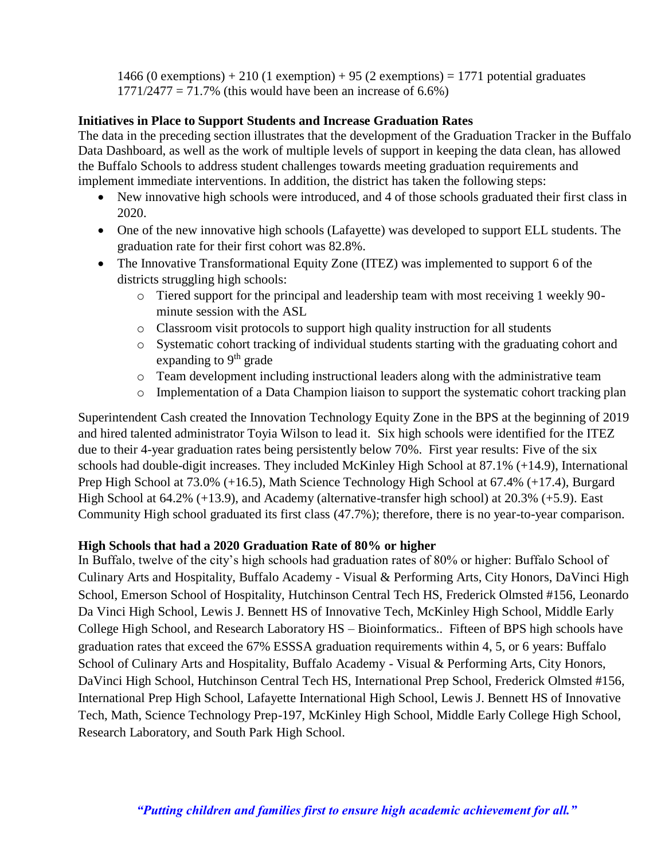1466 (0 exemptions)  $+ 210$  (1 exemption)  $+ 95$  (2 exemptions)  $= 1771$  potential graduates  $1771/2477 = 71.7%$  (this would have been an increase of 6.6%)

### **Initiatives in Place to Support Students and Increase Graduation Rates**

The data in the preceding section illustrates that the development of the Graduation Tracker in the Buffalo Data Dashboard, as well as the work of multiple levels of support in keeping the data clean, has allowed the Buffalo Schools to address student challenges towards meeting graduation requirements and implement immediate interventions. In addition, the district has taken the following steps:

- New innovative high schools were introduced, and 4 of those schools graduated their first class in 2020.
- One of the new innovative high schools (Lafayette) was developed to support ELL students. The graduation rate for their first cohort was 82.8%.
- The Innovative Transformational Equity Zone (ITEZ) was implemented to support 6 of the districts struggling high schools:
	- o Tiered support for the principal and leadership team with most receiving 1 weekly 90 minute session with the ASL
	- o Classroom visit protocols to support high quality instruction for all students
	- o Systematic cohort tracking of individual students starting with the graduating cohort and expanding to  $9<sup>th</sup>$  grade
	- o Team development including instructional leaders along with the administrative team
	- o Implementation of a Data Champion liaison to support the systematic cohort tracking plan

Superintendent Cash created the Innovation Technology Equity Zone in the BPS at the beginning of 2019 and hired talented administrator Toyia Wilson to lead it. Six high schools were identified for the ITEZ due to their 4-year graduation rates being persistently below 70%. First year results: Five of the six schools had double-digit increases. They included McKinley High School at 87.1% (+14.9), International Prep High School at 73.0% (+16.5), Math Science Technology High School at 67.4% (+17.4), Burgard High School at 64.2% (+13.9), and Academy (alternative-transfer high school) at 20.3% (+5.9). East Community High school graduated its first class (47.7%); therefore, there is no year-to-year comparison.

# **High Schools that had a 2020 Graduation Rate of 80% or higher**

In Buffalo, twelve of the city's high schools had graduation rates of 80% or higher: Buffalo School of Culinary Arts and Hospitality, Buffalo Academy - Visual & Performing Arts, City Honors, DaVinci High School, Emerson School of Hospitality, Hutchinson Central Tech HS, Frederick Olmsted #156, Leonardo Da Vinci High School, Lewis J. Bennett HS of Innovative Tech, McKinley High School, Middle Early College High School, and Research Laboratory HS – Bioinformatics.. Fifteen of BPS high schools have graduation rates that exceed the 67% ESSSA graduation requirements within 4, 5, or 6 years: Buffalo School of Culinary Arts and Hospitality, Buffalo Academy - Visual & Performing Arts, City Honors, DaVinci High School, Hutchinson Central Tech HS, International Prep School, Frederick Olmsted #156, International Prep High School, Lafayette International High School, Lewis J. Bennett HS of Innovative Tech, Math, Science Technology Prep-197, McKinley High School, Middle Early College High School, Research Laboratory, and South Park High School.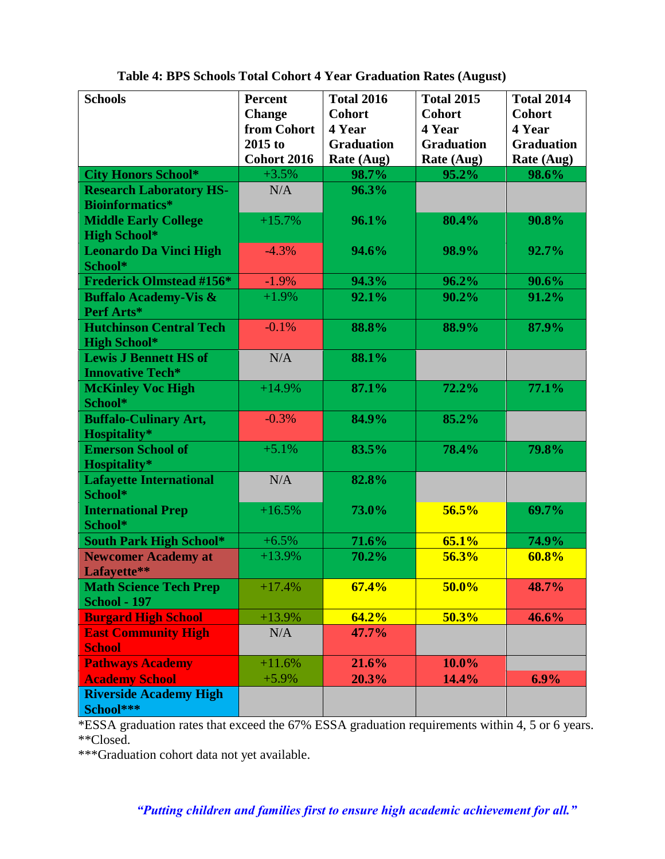| <b>Schools</b>                                           | <b>Percent</b>     | <b>Total 2016</b> | <b>Total 2015</b> | <b>Total 2014</b> |
|----------------------------------------------------------|--------------------|-------------------|-------------------|-------------------|
|                                                          | <b>Change</b>      | <b>Cohort</b>     | <b>Cohort</b>     | <b>Cohort</b>     |
|                                                          | from Cohort        | 4 Year            | 4 Year            | 4 Year            |
|                                                          | 2015 to            | <b>Graduation</b> | <b>Graduation</b> | <b>Graduation</b> |
|                                                          | <b>Cohort 2016</b> | Rate (Aug)        | Rate (Aug)        | Rate (Aug)        |
| <b>City Honors School*</b>                               | $+3.5%$            | 98.7%             | 95.2%             | 98.6%             |
| <b>Research Laboratory HS-</b><br><b>Bioinformatics*</b> | N/A                | 96.3%             |                   |                   |
| <b>Middle Early College</b><br><b>High School*</b>       | $+15.7%$           | 96.1%             | 80.4%             | 90.8%             |
| <b>Leonardo Da Vinci High</b><br>School*                 | $-4.3%$            | 94.6%             | 98.9%             | 92.7%             |
| <b>Frederick Olmstead #156*</b>                          | $-1.9%$            | 94.3%             | 96.2%             | 90.6%             |
| <b>Buffalo Academy-Vis &amp;</b><br>Perf Arts*           | $+1.9%$            | 92.1%             | 90.2%             | 91.2%             |
| <b>Hutchinson Central Tech</b><br><b>High School*</b>    | $-0.1%$            | 88.8%             | 88.9%             | 87.9%             |
| <b>Lewis J Bennett HS of</b><br><b>Innovative Tech*</b>  | N/A                | 88.1%             |                   |                   |
| <b>McKinley Voc High</b><br>School*                      | $+14.9%$           | 87.1%             | 72.2%             | 77.1%             |
| <b>Buffalo-Culinary Art,</b><br>Hospitality*             | $-0.3%$            | 84.9%             | 85.2%             |                   |
| <b>Emerson School of</b><br>Hospitality*                 | $+5.1%$            | 83.5%             | 78.4%             | 79.8%             |
| <b>Lafayette International</b><br>School*                | N/A                | 82.8%             |                   |                   |
| <b>International Prep</b><br>School*                     | $+16.5%$           | 73.0%             | 56.5%             | 69.7%             |
| <b>South Park High School*</b>                           | $+6.5%$            | 71.6%             | 65.1%             | 74.9%             |
| <b>Newcomer Academy at</b><br>Lafayette**                | $+13.9%$           | 70.2%             | 56.3%             | 60.8%             |
| <b>Math Science Tech Prep</b><br><b>School - 197</b>     | $+17.4%$           | 67.4%             | 50.0%             | 48.7%             |
| <b>Burgard High School</b>                               | $+13.9%$           | 64.2%             | 50.3%             | 46.6%             |
| <b>East Community High</b><br><b>School</b>              | N/A                | 47.7%             |                   |                   |
| <b>Pathways Academy</b>                                  | $+11.6%$           | 21.6%             | 10.0%             |                   |
| <b>Academy School</b>                                    | $+5.9%$            | 20.3%             | 14.4%             | 6.9%              |
| <b>Riverside Academy High</b><br>School***               |                    |                   |                   |                   |

**Table 4: BPS Schools Total Cohort 4 Year Graduation Rates (August)**

\*ESSA graduation rates that exceed the 67% ESSA graduation requirements within 4, 5 or 6 years. \*\*Closed.

\*\*\*Graduation cohort data not yet available.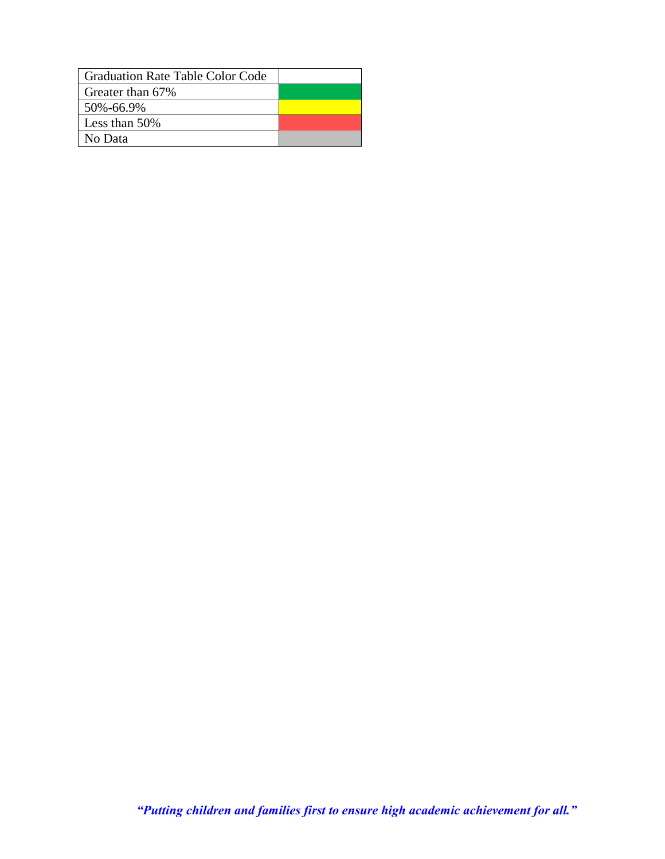| Graduation Rate Table Color Code |  |
|----------------------------------|--|
| Greater than 67%                 |  |
| 50%-66.9%                        |  |
| Less than $50\%$                 |  |
| No Data                          |  |

*"Putting children and families first to ensure high academic achievement for all."*